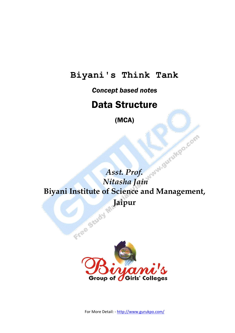#### **Biyani's Think Tank**

*Concept based notes*

#### Data Structure

(MCA)

*Asst. Prof. Nitasha Jain* **Biyani Institute of Science and Management,**  Jend Jaipur



For More Detail: - http://www.gurukpo.com/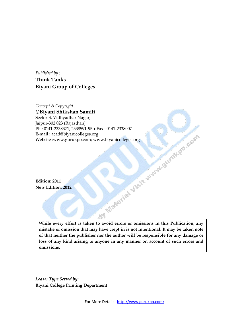*Published by :* **Think Tanks Biyani Group of Colleges**

*Concept & Copyright :* **Biyani Shikshan Samiti** Sector-3, Vidhyadhar Nagar, Jaipur-302 023 (Rajasthan) Ph : 0141-2338371, 2338591-95 • Fax : 0141-2338007<br>E-mail : acad@biyanicolleges.org<br>Website :www.gurukpo.com; www.biyanicolleges.org<br>Redition: 2011<br>New Edition: 2012 E-mail : acad@biyanicolleges.org Website :www.gurukpo.com; www.biyanicolleges.org

**Edition: 2011 New Edition: 2012**

**While every effort is taken to avoid errors or omissions in this Publication, any mistake or omission that may have crept in is not intentional. It may be taken note of that neither the publisher nor the author will be responsible for any damage or loss of any kind arising to anyone in any manner on account of such errors and omissions.**

*Leaser Type Setted by:* **Biyani College Printing Department**

For More Detail: - http://www.gurukpo.com/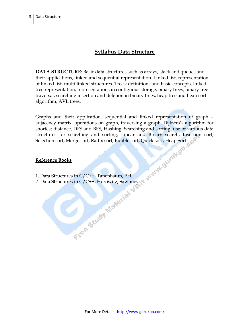#### **Syllabus Data Structure**

**DATA STRUCTURE**: Basic data structures such as arrays, stack and queues and their applications, linked and sequential representation. Linked list, representation of linked list, multi linked structures. Trees: definitions and basic concepts, linked tree representation, representations in contiguous storage, binary trees, binary tree traversal, searching insertion and deletion in binary trees, heap tree and heap sort algorithm, AVL trees.

Graphs and their application, sequential and linked representation of graph – adjacency matrix, operations on graph, traversing a graph, Dijkstra's algorithm for shortest distance, DFS and BFS, Hashing. Searching and sorting, use of various data structures for searching and sorting, Linear and Binary search, Insertion sort, Selection sort, Merge sort, Radix sort, Bubble sort, Quick sort, Heap Sort.

#### **Reference Books**

- 1. Data Structures in C/C++, Tanenbaum, PHI
- 2. Data Structures in C/C++, Horowitz, Sawhney.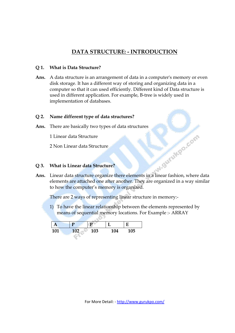#### **DATA STRUCTURE: - INTRODUCTION**

#### **Q 1. What is Data Structure?**

**Ans.** A data structure is an arrangement of data in a computer's memory or even disk storage. It has a different way of storing and organizing data in a computer so that it can used efficiently. Different kind of Data structure is used in different application. For example, B-tree is widely used in implementation of databases.

#### **Q 2. Name different type of data structures?**

**Ans.** There are basically two types of data structures

1 Linear data Structure

2 Non Linear data Structure

#### **Q 3. What is Linear data Structure?**

**Ans.** Linear data structure?<br> **Ans.** Linear data structure organize there elements in a linear fashion, where data elements are attached one after another. They are organized in a way similar to how the computer's memory is organized.

There are 2 ways of representing linear structure in memory:-

1) To have the linear relationship between the elements represented by means of sequential memory locations. For Example :- ARRAY

|     |     |     |     | E   |
|-----|-----|-----|-----|-----|
| 101 | 102 | 103 | 104 | 105 |

 $\triangle$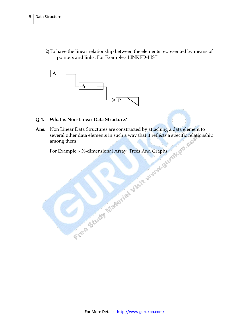2)To have the linear relationship between the elements represented by means of pointers and links. For Example:- LINKED-LIST



#### **Q 4. What is Non-Linear Data Structure?**

Ans. Non Linear Data Structures are constructed by attaching a data element to several other data elements in such a way that it reflects a specific relations among them<br>For Example :- N-dimensional Array, Trees And Graphs several other data elements in such a way that it reflects a specific relationship among them

For Example :- N-dimensional Array, Trees And Graphs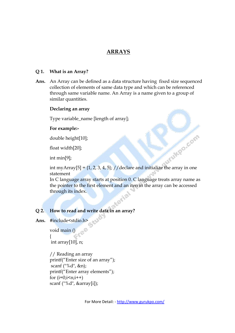#### **ARRAYS**

#### **Q 1. What is an Array?**

**Ans.** An Array can be defined as a data structure having fixed size sequenced collection of elements of same data type and which can be referenced through same variable name. An Array is a name given to a group of similar quantities.

#### **Declaring an array**

Type variable\_name [length of array];

#### **For example:-**

double height[10];

float width[20];

int min[9];

int min[9];<br>int myArray[5] = {1, 2, 3, 4, 5}; //declare and initialize the array in one statement

In C language array starts at position 0. C language treats array name as the pointer to the first element and an iten in the array can be accessed through its index.

#### **Q 2. How to read and write data in an array?**

Ans. #include<stdio.h>

void main () { int array[10], n;

 // Reading an array printf("Enter size of an array"); scanf ("%d", &n); printf("Enter array elements"); for  $(i=0;i \leq n;i++)$ scanf ("%d", &array[i]);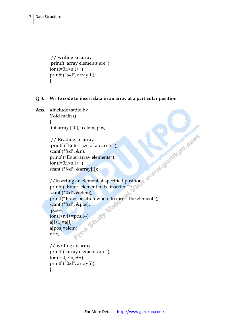// writing an array printf("array elements are"); for  $(i=0;i \leq n;i++)$  printf ("%d", array[i]); }

#### **Q 3. Write code to insert data in an array at a particular position**

**Ans.** #include<stdio.h> Void main () {

int array [10], n elem, pos;

 // Reading an array printf ("Enter size of an array"); scanf ("%d", &n); printf ("Enter array elements"); for  $(i=0;i\leq n;i++)$ scanf ("%d", &array[i]);

```
 //Inserting an element at specified position
 printf ("Enter element to be inserted");
 scanf ("%d", &elem);
 printf("Enter position where to insert the element");
scanf ("%d", &pos);
 pos--;
for (i \leq n; i \geq p \leq i-a[i+1]=a[i];<br>a[pos]=elem;<br>n++;
       a[pos]=elem;
      n++;
```

```
 // writing an array
 printf ("array elements are");
for (i=0;i \leq n;i++) printf ("%d", array[i]);
}
```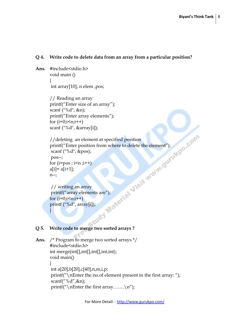#### **Q 4. Write code to delete data from an array from a particular position?**

**Ans.** #include<stdio.h> void main () { int array[10], n elem ,pos;

```
 // Reading an array
 printf("Enter size of an array");
 scanf ("%d", &n);
 printf("Enter array elements");
for (i=0;i \leq n;i++)
```

```
scanf ("%d", &array[i]);<br>
//deleting an element at specified position<br>
printf("Enter position from where to delete the element");<br>
scanf ("%d", &pos);<br>
pos--;<br>
for (i=pos ; i<n ;i++)<br>
a[i]= a[i+1];<br>
n--;<br>
// writing an ar
 //deleting an element at specified position
 printf("Enter position from where to delete the element");
  scanf ("%d", &pos);
  pos--;
for (i=pos; i \leq n; i++)a[i] = a[i+1];
 n--;
```

```
 // writing an array
printf("array elements are");
for (i=0; i \le n; i++) printf ("%d", array[i]);
}
```
#### **Q 5. Write code to merge two sorted arrays ?**

```
Ans. /* Program to merge two sorted arrays */
        #include<stdio.h>
       int merge(int[],int[],int[],int,int);
       void main()
        {
        int a[20],b[20],c[40],n,m,i,p;
        printf("\nEnter the no.of element present in the first array: ");
        scanf("%d",&n);
        printf("\left(\mathbb{T} nEnter the first array.......\n\cdot \mathbb{T}");
```
For More Detail: - http://www.gurukpo.com/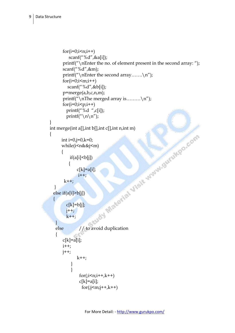```
for(i=0;i\leq n;i++) scanf("%d",&a[i]);
              printf("\nEnter the no. of element present in the second array: ");
               scanf("%d",&m);
              printf("\left(\mathbb{R}^n\right) respectively);
              for(i=0;i\leq m;i++) scanf("%d",&b[i]);
               p=merge(a,b,c,n,m);
              printf("\inftynThe merged array is........\inftyn");
              for(i=0;i< p;i++) printf("%d ",c[i]);
                printf("\n\langle n \rangle n");
       }
       int merge(int a[],int b[],int c[],int n,int m)
       \{int i=0, j=0, k=0;while(i<n&&j<m)
               {
                  if(a[i] < b[j])\left\{ \begin{array}{c} 1 & 1 \\ 1 & 1 \end{array} \right\}c[k]=a[i];i++;k++; }
         else if(a[i]>b[i])
\overline{\mathcal{L}}c[k]=b[j];j++;k++; }
else // to avoid duplication
\left\{ \begin{array}{c} 1 & 1 \\ 1 & 1 \end{array} \right\}c[k]=a[i]; i++;
               j++;
       k++; }
        }
                       for(i\leq n; i++, k++)c[k]=a[i];for(j\leq m; j++)
```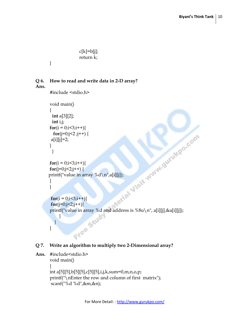```
c[k]=b[j]; return k;
```
#### **Q 6. How to read and write data in 2-D array?**

**Ans.**

}

```
#include <stdio.h>
             void main()
              {
                int a[3][2];
                 int i,j;
             {
                 for(j=0;j<2;j++) {
              a[i][j]=2; }
                }
             {
             for(j=0; j<2; j++) {
            \begin{aligned} &\lim_{\substack{u \to 0; i \leq 2j+1 \\ j}}\sum_{\substack{v \to i+1 \\ v \text{limit}}} \sum_{\substack{v \to i+1 \\ \text{for}(i=0; i \leq 3j+1) \\ \text{for}(j=0; j \leq 2j+1) \\ \text{printf("value in}}} \sum_{\substack{v \to i+1 \\ v \to i}}\sum_{\substack{v \to i+1 \\ v \to i+1 \\ \text{printf("value in}}} \sum_{\substack{v \to i+1 \\ v \to i+1 \\ \text{printf("value in}}} \sum_{\substack{v \to i+1 \\ v \to i+1 \\ \text{printf(" }
 }
              {
              for(j=0;j<2;j++){
             printf("value in array %d and address is %8u\n", a[i][j],&a[i][j]);<br>}<br>}
                        }
                   }
             }
```
#### **Q 7. Write an algorithm to multiply two 2-Dimensional array?**

```
Ans. #include<stdio.h>
      void main()
       {
      int a[5][5],b[5][5],c[5][5],i,j,k,sum=0,m,n,o,p;
      printf("\nEnter the row and column of first matrix");
       scanf("%d %d",&m,&n);
```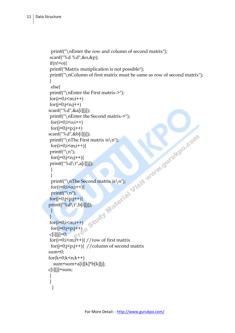```
printf("\nEnter the row and column of second matrix");
          scanf("%d %d",&o,&p);
          if(n!=o) printf("Matrix mutiplication is not possible");
           printf("\nColumn of first matrix must be same as row of second matrix");
          }
           else{
           printf("\nEnter the First matrix->");
          for(i=0;i\leq m;i++)for(j=0;j\leq n;j++) scanf("%d",&a[i][j]);
           printf("\nEnter the Second matrix->");
           for(i=0;i<0;i++)for(i=0;i< p;i++)\begin{array}{l} \mathrm{scant}(\mathbf{``}\textrm{sd}^{+}, \textrm{dcb}[i][j]);\\ \mathrm{print}(\mathbf{``}\textrm{nThe First matrix is}\, \mathbf{``})\\ \mathrm{for}(\mathbf{i}=0;\mathbf{i}\textrm{<}\textrm{sn};\mathbf{i}\textrm{++})\{\end{array} \begin{array}{l} \mathrm{for}(\mathbf{i}=0;\mathbf{i}\textrm{sn};\mathbf{i}\textrm{++})\{\end{array} \\ \} \ \begin{array}{l} \mathrm{print}(\mathbf{``}\textrm{sd}\, \mathbf{``}, \mathbf{``}\textrm{a}[i][j]);\\ \mathrm{forprintf("\nThe First matrix is\n");
          for(i=0;i\leq m;i++){
          printf("\langle n''\rangle;
           for(i=0; j < n; j++){
          printf("%d\t",a[i][j]);
 }
 }
            printf("\nThe Second matrix is\n");
           for(i=0;i<0;i++){
           printf("\langle n'' \rangle;
          for(j=0; j < p; j++){
         printf("%d\t",b[i][j]);
            } 
           }
          for(i=0;i\leq m;i++)for(i=0; i \le p; i++)c[i][j]=0;for(i=0;i\leq m; i++){ //row of first matrix
           for(j=0;j<p;j++){ //column of second matrix
          sum=0;
         for(k=0;k< n;k++) sum=sum+a[i][k]*b[k][j];
         c[i][j]=sum;
           }
           }
            }
```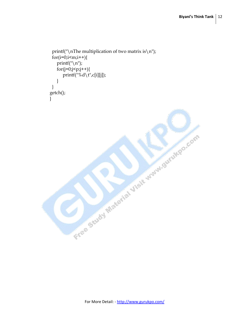```
printf("\nThe multiplication of two matrix is\n");
 for(i=0;i\leq m;i++)\{printf("\n\overline{n}");
   for (j=0; j < p; j++){
      printf("%d\t",c[i][j]);
    }
 }
getch();
}Free Study Material Visit mynagurukpo.com
```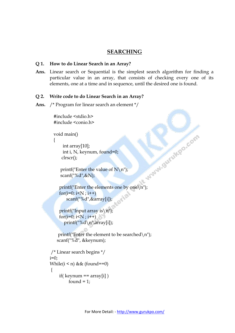#### **SEARCHING**

#### **Q 1. How to do Linear Search in an Array?**

**Ans.** Linear search or Sequential is the simplest search algorithm for finding a particular value in an array, that consists of checking every one of its elements, one at a time and in sequence, until the desired one is found.

#### **Q 2. Write code to do Linear Search in an Array?**

#### **Ans.** /\* Program for linear search an element \*/

#include <stdio.h> #include <conio.h>

```
void main()
```

```
\left\{ \right.
```

```
 int array[10];
   int i, N, keynum, found=0;
  clrscr();
\ldots found=0;<br>
y printf("Enter the value of N\n");<br>
scanf("%d",&N);<br>
printf("Enter the elements one by one\n");
```

```
printf("Enter the value of N\n");
 scanf("%d",&N);
```

```
for(i=0; i< N; i++)
    scanf("%d",&array[i]);
```

```
printf("Input array is\n");
for(i=0; i< N; i++)
   printf("%d\n",array[i]);
```

```
printf("Enter the element to be searched\n\ranglen");
 scanf("%d", &keynum);
```

```
/* Linear search begins */
i=0;
While(i < n) & \& (found==0)
{
    if( keynum == array[i] )
         found = 1;
```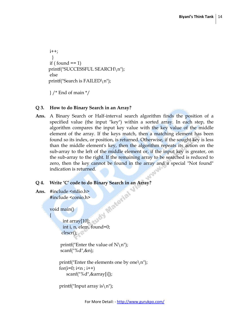```
i++; }
if ( found == 1)
 printf("SUCCESSFUL SEARCH\n");
 else
 printf("Search is FAILED\n");
```
} /\* End of main \*/

#### **Q 3. How to do Binary Search in an Array?**

**Ans.** A Binary Search or Half-interval search [algorithm](http://en.wikipedia.org/wiki/Algorithm) finds the position of a specified value (the input "key") within a [sorted array.](http://en.wikipedia.org/wiki/Sorted_array) In each step, the algorithm compares the input key value with the key value of the middle element of the array. If the keys match, then a matching element has been found so its index, or position, is returned. Otherwise, if the sought key is less than the middle element's key, then the algorithm repeats its action on the sub-array to the left of the middle element or, if the input key is greater, on the sub-array to the right. If the remaining array to be searched is reduced to zero, then the key cannot be found in the array and a special "Not found" indication is returned.

#### **Q 4. Write 'C' code to do Binary Search in an Array?**

**Ans.** #include <stdio.h> #include <conio.h>

void main()

{

**int array**[10]; int i, n, elem, found=0; clrscr();

> printf("Enter the value of  $N\$ n"); scanf("%d",&n);

```
printf("Enter the elements one by one\langle n'' \rangle;
for(i=0; i\leq n; i++)
     scanf("%d",&array[i]);
```

```
printf("Input array is\n");
```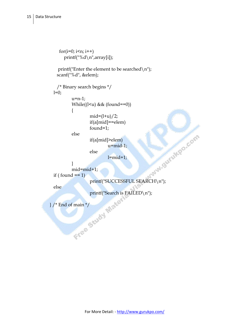```
for(i=0; i \le n; i++)
       printf("%d\n",array[i]);
   printf("Enter the element to be searched\n\langle n''\rangle;
    scanf("%d", &elem);
    /* Binary search begins */
 l=0;u=n-1;While((l< u) & (t (found==0))
\{mid=(l+u)/2; if(a[mid]==elem)
                   found=1;
          else
                   if(a[mid]>elem)
                           u=mid-1;
                   else
                           l=mid+1; }
           mid=mid+1;
 if ( found == 1)
                  PRINT ("SUCCESSFUL SEARCH\n");
  else
          printf("Search is FAILED\n");<br>f main */<br>exploit Max
} /* End of main */
```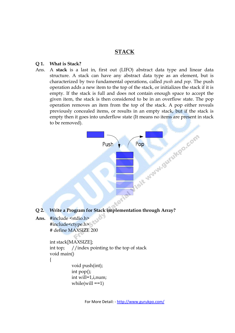#### **STACK**

#### **Q 1. What is Stack?**

Ans. A **stack** is a last in, first out [\(LIFO\)](http://en.wikipedia.org/wiki/LIFO_%28computing%29) [abstract data type](http://en.wikipedia.org/wiki/Abstract_data_type) and linear [data](http://en.wikipedia.org/wiki/Data_structure)  [structure.](http://en.wikipedia.org/wiki/Data_structure) A stack can have any [abstract data type](http://en.wikipedia.org/wiki/Abstract_data_type) as an [element,](http://en.wikipedia.org/wiki/Element) but is characterized by two fundamental operations, called *push* and *pop*. The push operation adds a new item to the top of the stack, or initializes the stack if it is empty. If the stack is full and does not contain enough space to accept the given item, the stack is then considered to be in an [overflow](http://en.wikipedia.org/wiki/Stack_overflow) state. The pop operation removes an item from the top of the stack. A pop either reveals previously concealed items, or results in an empty stack, but if the stack is empty then it goes into underflow state (It means no items are present in stack to be removed).



- **Q 2. Write a Program for Stack implementation through Array?**
- **Ans.** #include <stdio.h> #include<ctype.h> # define MAXSIZE 200

```
int stack[MAXSIZE];
int top; //index pointing to the top of stack
void main()
{
          void push(int);
```

```
int pop();
int will=1,i,num;
while(will ==1)
```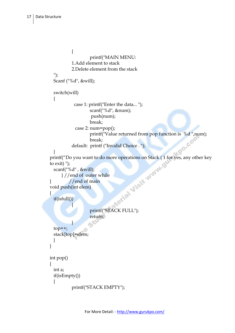```
{
                               printf("MAIN MENU: 
                 1.Add element to stack
                 2.Delete element from the stack
  ");
  Scanf ("%d", &will);
  switch(will)
   {
                   case 1: printf("Enter the data... ");
                                scanf("%d", &num);
                                push(num);
                                break;
                    case 2: num=pop();
                               printf("Value returned from pop function is %d ",num);<br>break;<br>printf ("Invalid Choice . ");
                                break;
                 default: printf ("Invalid Choice . ");
   }
printf("Do you want to do more operations on Stack ( 1 for yes, any other key<br>to exit) ");<br>scanf("%d", &will);<br>} //end of outer while<br>} //end of main<br>void push(int elem)<br>{<br>if(isfull())
to ext)");
  scanf("%d" , &will);
         } //end of outer while
} //end of main
void push(int elem)
{
  if(isfull())
\mathbb{R}^n printf("STACK FULL");
                                return;
Property of the Second Property of the Second Property of the Second Property of the Second Property of the Second Property of the Second Property of the Second Property of the Second Property and Property and Property a
                                 配气
  top++;
  stack[top]=elem;
  }
}
int pop()
{
  int a;
  if(isEmpty())
  {
                 printf("STACK EMPTY");
```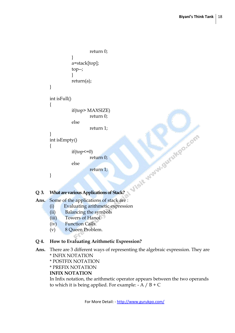```
return 0;
               }
               a=stack[top];
               top--;
               }
               return(a);
      }
      int isFull()
      {
               if(top> MAXSIZE)
                       return 0;
               else
                       return 1;
      }
      int isEmpty()
      {
               if(top<=0)return 0;
               else
                       return 1;
      }
Ans. Some of the applications of stack are :
```
#### **Q 3. What are various Applications of Stack?**

- (i) Evaluating arithmetic expression
	- (ii) Balancing the symbols
	- (iii) Towers of Hanoi
	- (iv) Function Calls.
	- (v) 8 Queen Problem.

#### **Q 4. How to Evaluating Arithmetic Expression?**

- **Ans.** There are 3 different ways of representing the algebraic expression. They are \* INFIX NOTATION
	- \* POSTFIX NOTATION
	- \* PREFIX NOTATION

#### **INFIX NOTATION**

In Infix notation, the arithmetic operator appears between the two operands to which it is being applied. For example: - A  $/B + C$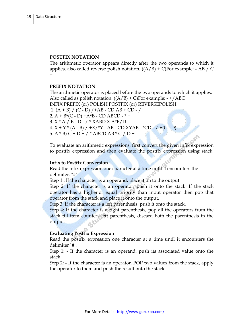#### **POSTFIX NOTATION**

The arithmetic operator appears directly after the two operands to which it applies. also called reverse polish notation.  $((A/B) + C)$ For example: - AB / C +

#### **PREFIX NOTATION**

The arithmetic operator is placed before the two operands to which it applies. Also called as polish notation.  $((A/B) + C)$ For example: - +/ABC INFIX PREFIX (or) POLISH POSTFIX (or) REVERSEPOLISH 1.  $(A + B) / (C - D) / +AB - CD AB + CD - /$ 2.  $A + B*(C - D) + A*B - CD ABCD - * +$ 3. X \* A / B - D - / \* XABD X A\*B/D- $4. X + Y * (A - B) / +X/*Y - AB - CD XYAB - *CD - / + (C - D)$ 5. A \* B/C + D + / \* ABCD AB \* C / D +

To evaluate an arithmetic expressions, first convert the given infix expression to postfix expression and then evaluate the postfix expression using stack.

#### **Infix to Postfix Conversion**

Read the infix expression one character at a time until it encounters the delimiter. "#"

Step 1 : If the character is an operand, place it on to the output.

Step 2: If the character is an operator, push it onto the stack. If the stack operator has a higher or equal priority than input operator then pop that operator from the stack and place it onto the output.

Step 3: If the character is a left parenthesis, push it onto the stack.

Step 4: If the character is a right parenthesis, pop all the operators from the stack till item counters left parenthesis, discard both the parenthesis in the output.

#### **Evaluating Postfix Expression**

Read the postfix expression one character at a time until it encounters the delimiter `#'.

Step 1: - If the character is an operand, push its associated value onto the stack.

Step 2: - If the character is an operator, POP two values from the stack, apply the operator to them and push the result onto the stack.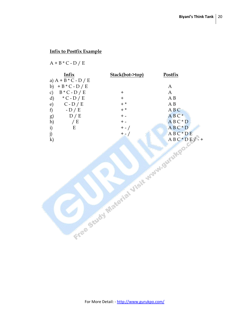#### **Infix to Postfix Example**

 $A + B * C - D / E$ 

| Infix                            | Stack(bot->top) | <b>Postfix</b> |
|----------------------------------|-----------------|----------------|
| a) $A + B * C - D / E$           |                 |                |
| $+ B * C - D / E$<br>b)          |                 | A              |
| $B * C - D / E$<br>$\mathcal{C}$ | ┿               | A              |
| $*C$ - D / E<br>d)               | $\pm$           | ΑB             |
| $C - D / E$<br>e)                | $+$ *           | A B            |
| f<br>$-D/E$                      | $+$ *           | ABC            |
| D/E<br>g)                        | $+$ $-$         | $ABC*$         |
| $\mathbf{h}$<br>E                | + -             | $AB C * D$     |
| $\mathbf{i}$<br>Е                | $+ - /$         | ABC*D          |
| j)                               | $+ - 1$         | $AB C * DE$    |
| $\bf k)$                         |                 | $AB C^* DE /$  |
|                                  |                 |                |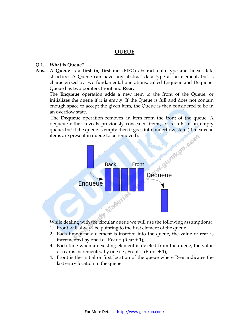#### **QUEUE**

#### **Q 1. What is Queue?**

**Ans.** A **Queue** is a **first in, first out** [\(FIFO\)](http://en.wikipedia.org/wiki/LIFO_%28computing%29) [abstract data type](http://en.wikipedia.org/wiki/Abstract_data_type) and linear [data](http://en.wikipedia.org/wiki/Data_structure)  [structure.](http://en.wikipedia.org/wiki/Data_structure) A Queue can have any [abstract data type](http://en.wikipedia.org/wiki/Abstract_data_type) as an [element,](http://en.wikipedia.org/wiki/Element) but is characterized by two fundamental operations, called Enqueue and Dequeue. Queue has two pointers **Front** and **Rear.**

The **Enqueue** operation adds a new item to the front of the Queue, or initializes the queue if it is empty. If the Queue is full and does not contain enough space to accept the given item, the Queue is then considered to be in an [overflow](http://en.wikipedia.org/wiki/Stack_overflow) state.

The **Dequeue** operation removes an item from the front of the queue. A dequeue either reveals previously concealed items, or results in an empty items are present in queue to be removed).



While dealing with the circular queue we will use the following assumptions:

- 1. Front will always be pointing to the first element of the queue.
- 2. Each time a new element is inserted into the queue, the value of rear is incremented by one i.e.,  $Rear = (Rear + 1);$
- 3. Each time when an existing element is deleted from the queue, the value of rear is incremented by one i.e., Front  $=$  (Front  $+1$ );
- 4. Front is the initial or first location of the queue where Rear indicates the last entry location in the queue.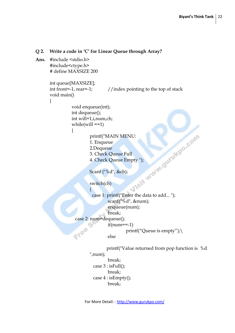```
Q 2. Write a code in 'C' for Linear Queue through Array?
Ans. #include <stdio.h>
       #include<ctype.h>
       # define MAXSIZE 200
       int queue[MAXSIZE];
       int front=-1, rear=-1; //index pointing to the top of stackvoid main()
       {
                   void enqueue(int);
                   int dequeue();
                   int will=1,i,num,ch;
                   while(will ==1)printf("MAIN MENU:<br>
1. Enqueue<br>
2.Dequeue<br>
3. Check Queue Full<br>
4. Check Queue Empty ");<br>
Scanf ("%d", &ch);<br>
switch(ch)<br>
{<br>
cac
                   {
                            1. Enqueue
                            2.Dequeue
                            3. Check Queue Full
                            4. Check Queue Empty ");
                            Scanf ("%d", &ch);
                            switch(ch)
                             {
                               case 1: printf("Enter the data to add... ");
                                       scanf("%d", &num);
                                       enqueue(num);
                                       break;
                     case 2: num=dequeue();
                                      if(num==1)Free
                                                printf("Queue is empty");
                                      else
                                     printf("Value returned from pop function is %d
```

```
",num);
```
 break; case 3 : isFull(); break; case 4 : isEmpty(); break;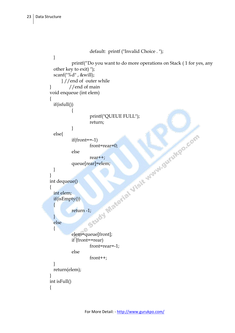```
default: printf ("Invalid Choice . ");
 }
          printf("Do you want to do more operations on Stack ( 1 for yes, any 
 other key to exit) ");
 scanf("%d" , &will);
      } //end of outer while
// end of main
void enqueue (int elem)
{
 if(isfull())
\{ printf("QUEUE FULL");
 return;
 }
 else{
          if(from = -1)front=rear=0;
          else
                  rear++;
          queue[rear]=elem;
 }
}
int dequeue()
{
 int elem;
 if(isEmpty())
 \{return -1;
 }
 else
 {
         elem=queue[front];
          if (front==rear)
                  front=rear=-1;
          else
                  front++;
 }
 return(elem);
}
int isFull()
{
```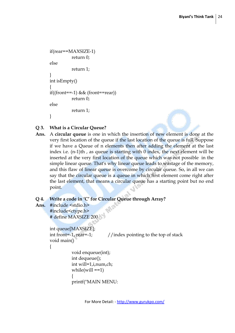```
if(rear==MAXSIZE-1)
          return 0;
else
          return 1;
}
int isEmpty()
{
if((front==-1) & (front=1)return 0;
else
          return 1;
}
```
#### **Q 3. What is a Circular Queue?**

**Ans.** A **circular queue** is one in which the insertion of new element is done at the very first location of the queue if the last location of the queue is full. Suppose if we have a Queue of n elements then after adding the element at the last index i.e. (n-1)th , as queue is starting with 0 index, the next element will be inserted at the very first location of the queue which was not possible in the simple linear queue. That's why linear queue leads to wastage of the memory, and this flaw of linear queue is overcome by circular queue. So, in all we can say that the circular queue is a queue in which first element come right after the last element, that means a circular queue has a starting point but no end point.

#### **Q 4. Write a code in 'C' for Circular Queue through Array?**

printf("MAIN MENU:

**Ans.** #include <stdio.h> #include<ctype.h> # define MAXSIZE 200

```
int queue[MAXSIZE];
int front=-1, rear=-1; //index pointing to the top of stack
void main()
{
          void enqueue(int);
          int dequeue();
          int will=1,i,num,ch;
          while(will ==1){
```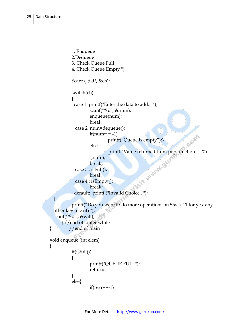}

{

```
1. Enqueue
          2.Dequeue
          3. Check Queue Full
          4. Check Queue Empty ");
          Scanf ("%d", &ch);
          switch(ch)
          {
            case 1: printf("Enter the data to add... ");
                   scanf("%d", &num);
                   enqueue(num);
                   break;
            case 2: num=dequeue();
                  if(num == -1)Com
                          printf("Queue is empty");\
                  else
                            printf("Value returned from pop function is %d 
            default: printf ("Invalid Choice . ");
                  ",num);
                   break;
           case 3: is Full();
                  break;
            case 4 : isEmpty();
                  break;
          printf("Do you want to do more operations on Stack ( 1 for yes, any 
 other key to exit) ");
 scanf("%d" , &will);
      } //end of outer while
} //end of main
void enqueue (int elem)
          if(isfull())
\{ printf("QUEUE FULL");
                   return;
 }
          else{
                  if(rear==1)
```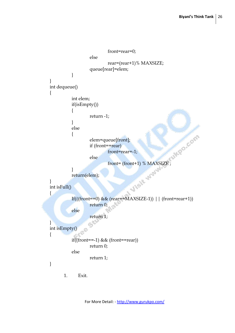```
front=rear=0;
                   else
                            rear=(rear+1)% MAXSIZE;
                   queue[rear]=elem;
          }
}
int dequeue()
\{int elem;
          if(isEmpty())
           {
                   return -1;
           }
          else
           {
                   elem=queue[front];
                   if (front==rear)
                            front=rear=-1;
                   else
                            front= (front+1) % MAXSIZE ;
          }
          return(elem);
}
int isFull()
{
          If(((front==0) && (rear==MAXSIZE-1)) || (front=rear+1))
                   return 0;
          else
                   return 1;
}
int isEmpty()
{
          if((front==-1) & (x(front==rear))
                   return 0;
          else
                   return 1;
}
      1. Exit.
```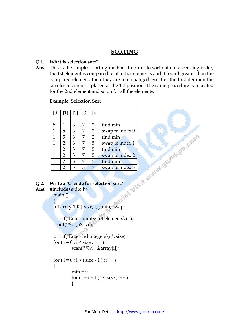#### **SORTING**

#### **Q 1. What is selection sort?**

**Ans.** This is the simplest sorting method. In order to sort data in ascending order, the 1st element is compared to all other elements and if found greater than the compared element, then they are interchanged. So after the first iteration the smallest element is placed at the 1st position. The same procedure is repeated for the 2nd element and so on for all the elements.

#### **Example: Selection Sort**

| [0]          |                | [1]   [2]   [3] |   | [4]            |                 |
|--------------|----------------|-----------------|---|----------------|-----------------|
|              |                |                 |   |                |                 |
| 5            | 1              | 3               | 7 | $\overline{2}$ | find min        |
| 1            | 5              | 3               | 7 | $\overline{2}$ | swap to index 0 |
| $\mathbf{1}$ | 5              | 3               | 7 | $\overline{2}$ | find min        |
| 1            | $\overline{2}$ | 3               | 7 | 5              | swap to index 1 |
| 1            | $\overline{2}$ | 3               | 7 | 5              | find min        |
| $\mathbf{1}$ | $\overline{2}$ | 3               | 7 | 5              | swap to index 2 |
| 1            | $\overline{2}$ | 3               | 7 | 5              | find min        |
|              | $\overline{2}$ | 3               | 5 | 7              | swap to index 3 |

#### **Q 2. Write a 'C' code for selection sort?**

**Ans.** #include<stdio.h>

main () {

int array[100], size, i, j, min, swap;

 printf("Enter number of elements\n"); scanf("%d", &size);

 printf("Enter %d integers\n", size); for  $(i = 0; i < size; i++)$ scanf("%d", &array[i]);

```
for (i = 0; i < (size - 1); i++)\left\{ \begin{array}{c} 1 & 1 \\ 1 & 1 \end{array} \right\}min = i;
                        for (j = i + 1; j < size; j++)\{
```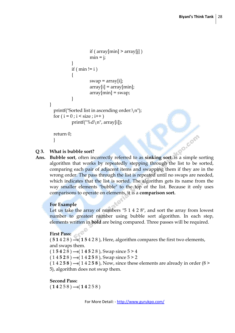```
if ( array[min] > array[j] )
                      min = j;
 }
               if ( min != i )
\{swap = array[i];array[i] = array[min];array[\text{min}] = swap; }
 }
        printf("Sorted list in ascending order:\n");
       for (i = 0; i < size; i++)printf("%d\n", array[i]);
        return 0;
```
}

#### **Q 3. What is bubble sort?**

**Ans. Bubble sort**, often incorrectly referred to as **sinking sort**, is a simple [sorting](http://en.wikipedia.org/wiki/Sorting_algorithm)  [algorithm](http://en.wikipedia.org/wiki/Sorting_algorithm) that works by repeatedly stepping through the list to be sorted, comparing each pair of adjacent items and [swapping](http://en.wikipedia.org/wiki/Swap_%28computer_science%29) them if they are in the wrong order. The pass through the list is repeated until no swaps are needed, which indicates that the list is sorted. The algorithm gets its name from the way smaller elements "bubble" to the top of the list. Because it only uses comparisons to operate on elements, it is a **[comparison sort.](http://en.wikipedia.org/wiki/Comparison_sort)**

#### **For Example**

Let us take the array of numbers "5 1 4 2 8", and sort the array from lowest number to greatest number using bubble sort algorithm. In each step, elements written in **bold** are being compared. Three passes will be required.

#### **First Pass:**

 $(51428)$   $\rightarrow$   $(15428)$ , Here, algorithm compares the first two elements, and swaps them.

 $(1 5 4 2 8) \rightarrow (1 4 5 2 8)$ , Swap since  $5 > 4$ 

 $(14528) \rightarrow (14258)$ , Swap since  $5 > 2$ 

 $(14258) \rightarrow (14258)$ , Now, since these elements are already in order  $(8 \ge 1)$ 5), algorithm does not swap them.

#### **Second Pass:**

 $(14258) \rightarrow (14258)$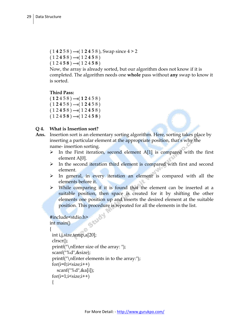$(14258) \rightarrow (12458)$ , Swap since  $4 > 2$  $(12458) \rightarrow (12458)$  $(12458) \rightarrow (12458)$ 

Now, the array is already sorted, but our algorithm does not know if it is completed. The algorithm needs one **whole** pass without **any** swap to know it is sorted.

```
Third Pass:
```
 $(12458) \rightarrow (12458)$  $(12458) \rightarrow (12458)$  $(12458) \rightarrow (12458)$  $(12458) \rightarrow (12458)$ 

#### **Q 4. What is Insertion sort?**

- **Ans.** Insertion sort is an elementary sorting algorithm. Here, sorting takes place by inserting a particular element at the appropriate position, that's why the name- insertion sorting.
	- $\triangleright$  In the First iteration, second element A[1] is compared with the first element A[0].
	- $\triangleright$  In the second iteration third element is compared with first and second element.
	- $\triangleright$  In general, in every iteration an element is compared with all the elements before it.
	- While comparing if it is found that the element can be inserted at a suitable position, then space is created for it by shifting the other elements one position up and inserts the desired element at the suitable position. This procedure is repeated for all the elements in the list.

```
#include<stdio.h>
int main()
{
```

```
int i,j,size,temp,a[20];
clrscr();
printf("\nEnter size of the array: ");
scanf("%d",&size);
printf("\nEnter elements in to the array:");
for(i=0;i\leq size;i++) scanf("%d",&a[i]);
for(i=1;i\leq size;i++) {
```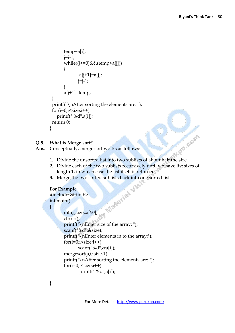**Po.com** 

```
 temp=a[i];
       i=i-1; while((j>=0)&&(temp<a[j]))
\{a[j+1]=a[j];i=i-1; }
        a[j+1]=temp;
 }
 printf("\nAfter sorting the elements are: ");
 for(i=0;i\leq size;i++) printf(" %d",a[i]);
 return 0;
}
```
#### **Q 5. What is Merge sort?**

**Ans.** Conceptually, merge sort works as follows:

- 1. Divide the unsorted list into two sublists of about half the size
- 2. Divide each of the two sublists recursively until we have list sizes of length 1, in which case the list itself is returned
- 

#### **For Example**

**#**include<stdio.h> int main()  $\{$ 

```
3. Merge the two sorted sublists back into one sorted list.<br>
For Example<br>
#include<stdio.h><br>
int main()<br>
{<br>
int i,j,size
        int i,j,size,,a[50];
         clrscr();
         printf("\nEnter size of the array: ");
        scanf("%d",&size);
         printf("\nEnter elements in to the array:");
         for(i=0;i\leq size;i++) scanf("%d",&a[i]);
         mergesort(a,0,size-1)
         printf("\nAfter sorting the elements are: ");
        for(i=0;i\leq size;i++) printf(" %d",a[i]);
```
**}**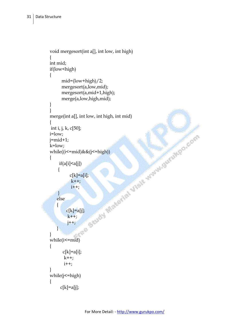```
void mergesort(int a[], int low, int high)
\left\{ \right.int mid;
if(low<high)
{
              mid=(low+high)/2;
              mergesort(a,low,mid);
              mergesort(a,mid+1,high);
              merge(a,low,high,mid);
}
}
merge(int a[], int low, int high, int mid)
{
\begin{array}{l} \displaystyle \inf_{i= {\rm low}; \\ \displaystyle j = {\rm mid} + 1; \\ \displaystyle k = {\rm low}; \\ \displaystyle \operatorname{while}((i \leq = {\rm mid}) \&\& (j \leq n) \\ \displaystyle \operatorname{with}((i \leq j) \leq n) \\ \displaystyle \operatorname{if}((a[i] \leq a[j]) \\ \displaystyle \operatorname{if}(k] = a[i]; \\ \displaystyle \operatorname{else} \\ \displaystyle \operatorname{else} \\ \displaystyle \operatorname{else} \\ \displaystyle \operatorname{else} \\ \displaystyle \operatorname{else} \\ \displaystyle \operatorname{else} \\ \displaystyle \operatorname{else} \\ \displaystyle \operatorname{if}(k] = a[i]; \\ \i=low;
j=mid+1;
k=low;
while((i<=mid)&&(j<=high))
{
           if(a[i]<a[j])
          {
                      c[k]=a[i];k++;i++; }
        else
         {
                  c[k]=a[j];k++; j++;
         }
}
while(i<=mid)
{
              c[k]=a[i];k++;i++;}
while(j<=high)
{
            c[k]=a[j];
```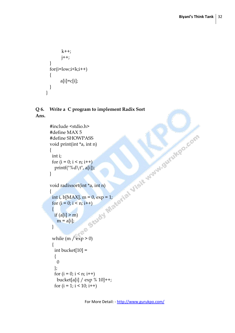```
k++; j++;
 }
 for(i=low;i\leq k;i++){
       a[i]=c[i];}
}
```
#### **Q 6. Write a C program to implement Radix Sort Ans.**

```
#include <stdio.h><br>
#define MAX 5<br>
#define SHOWPASS<br>
woid print(int *a, int n)<br>
{<br>
int i;<br>
printf("%d\t", a[i]);<br>
}<br>
yoid radixsort(int *a, int n)<br>
{<br>
int i, b[MAX], m = 0, exp = 1;<br>
for (i = 0; i < n; i++)<br>
{<br>
if (a[i] >
#define MAX 5
#define SHOWPASS
void print(int *a, int n)
{
  int i;
 for (i = 0; i < n; i++)printf("%d\t", a[i]);
}
void radixsort(int *a, int n)
{
 int i, b[MAX], m = 0, exp = 1;
 for (i = 0; i < n; i++)\left\{ \right\}if (a[i] > m)m = a[i];
  }
 while (m / exp > 0) {
   int bucket[10] =
    {
     \theta };
   for (i = 0; i < n; i++)bucket[a[i] / exp % 10]++;
   for (i = 1; i < 10; i++)
```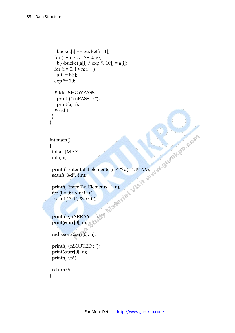}

{

}

```
bucket[i] += bucket[i - 1];
  for (i = n - 1; i \ge 0; i-)b[-backet[a[i] / exp % 10]] = a[i];for (i = 0; i < n; i++)a[i] = b[i];exp^* = 10; #ifdef SHOWPASS
   printf("\n\rightharpoonupnPASS : ");
    print(a, n);
   #endif 
 }
int main()
 int arr[MAX];
 int i, n;
printf("Enter total elements (n \le \% d) : ", MAX);
 scanf("%d", &n);
 printf("Enter %d Elements : ", n);
for (i = 0; i < n; i++) scanf("%d", &arr[i]);
 printf("\nARRAY : ");
 print(&arr[0], n);
 radixsort(&arr[0], n);
 printf("\nSORTED : ");
 print(&arr[0], n);
printf("\langle n''\rangle;
 return 0;
```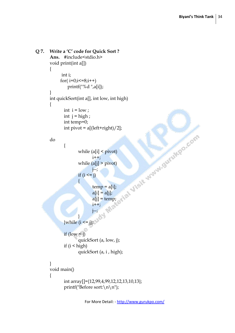```
Q 7. Write a 'C' code for Quick Sort ?
       Ans. #include<stdio.h> 
       void print(int a[]) 
       { 
               int i; 
             for(i=0; i \leq 8; i++) printf("%d ",a[i]); 
       } 
       int quickSort(int a[], int low, int high) 
       \{int i = low;int j = high;int temp=0; 
               int pivot = a[(left+right)/2];
       do 
               { 
                       while (a[i] < pivot) 
                               i++; 
                       while (a[i] > pivot)j--; 
                      if (i \le j){ 
                               temp = a[i];a[i] = a[j];a[j] = temp;i++; 
                               j--; 
                       } 
        \{ while (i \leq i);if (low < j)quickSort (a, low, j); 
               if (i < high)
                       quickSort (a, i , high); 
       } 
       void main() 
       { 
               int array[]={12,99,4,99,12,12,13,10,13}; 
               printf("Before sort:\n\n");
```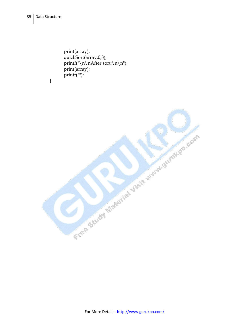}

print(array); quickSort(array,0,8); printf("\n\nAfter sort:\n\n"); print(array); printf("");

Free Study Material Visit Way Survives Com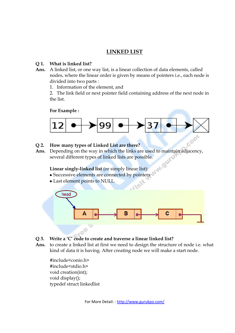#### **LINKED LIST**

#### **Q 1. What is linked list?**

- **Ans.** A linked list, or one way list, is a linear collection of data elements, called nodes, where the linear order is given by means of pointers i.e., each node is divided into two parts :
	- 1. Information of the element, and

2. The link field or next pointer field containing address of the next node in the list.

**For Example :**



#### **Q 2. How many types of Linked List are there?**

**Ans.** Depending on the way in which the links are used to maintain adjacency, several different types of linked lists are possible.

**Linear singly-linked list** (or simply linear list):

- Successive elements are connected by pointers
- Last element points to NULL.



- **Q 3. Write a 'C' code to create and traverse a linear linked list?**
- **Ans.** to create a linked list at first we need to design the structure of node i.e. what kind of data it is having. After creating node we will make a start node.

#include<conio.h> #include<stdio.h> void creation(int); void display(); typedef struct linkedlist

For More Detail: - http://www.gurukpo.com/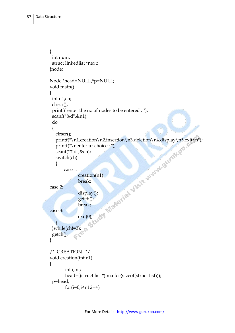```
{
  int num;
  struct linkedlist *next;
}node;
Node *head=NULL,*p=NULL;
void main()
{
  int n1,ch;
  clrscr();
  printf("enter the no of nodes to be entered : ");
  scanf("%d",&n1);
  do
  {
     clrscr();
   printf("\n1.creation\n2.insertion\n3.deletion\n4.display\n5.exit\n");<br>
printf("\nenter ur choice : ");<br>
scanf("%d",&ch);<br>
switch(ch)<br>
{<br>
case 1:<br>
creation(n1);<br>
break;<br>
display();<br>
getch();<br>
break;<br>
exit(0).<br>
}<br>
while(c<sup>1</sup>
     printf("\nenter ur choice : ");
     scanf("%d",&ch);
     switch(ch)
     {
         case 1:
                    creation(n1);
                    break;
case 2:
                    display();
                    getch();
                    break;
case 3:
                    exit(0); }
 \text{while}(\text{ch}!=3); getch();
}
/* CREATION */
void creation(int n1)
{
          int i, n ;
          head=((struct list *) malloc(sizeof(struct list)));
  p=head;
          for(i=0;i< n1;i++)
```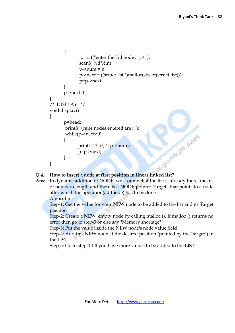```
{
                            printf("enter the %d node : ",i+1);
                            scanf("%d",&n);
                            p->num = n;
                            p->next = ((struct list *)malloc(sizeof(struct list)));
                            p=p->next;
          }
                  p->next=0;
        }
         /* DISPLAY */
        void display()
         {
                  p=head;
                  printf("\nthe nodes entered are : ");
                  while(p->next>0)
         \{printf ("%d\t", p->num);
                           p=p->next;
                  }
        }
PERTE ASSESSED ASSESSED A EXECUTE A POSITION COLLECTED POSITION POSITION POSITION POSITION POSITION POSITION POSITION POSITION POSITION POSITION POSITION POSITION POSITION POSITION POSI
```
**Ans:** In dynamic addition of NODE, we assume that the list is already there, means of non-zero length and there is a NODE pointer "target" that points to a node after which the operation(addnode) has to be done.

Algorithm:-

Step-1: Get the value for your NEW node to be added to the list and its Target position

Step-2: Create a NEW, empty node by calling malloc (). If malloc () returns no error then go to step-3 or else say "Memory shortage"

Step-3: Put the value inside the NEW node's node value field

Step-4: Add this NEW node at the desired position (pointed by the "target") in the LIST

Step-5: Go to step-1 till you have more values to be added to the LIST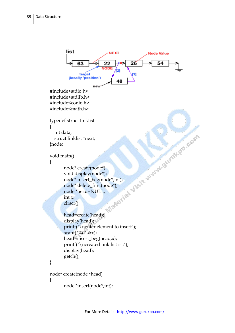```
list
                              NEXT
                                                  Node Value
                                         26
                                                       54
              63
                           22
                          NODE
                                 12]
               target
                                          Ħ
         (locally 'position')
                                  48
                      ne<sup>®</sup>
#include<stdio.h>
#include<stdlib.h>
#include<conio.h>
#include<math.h>
typedef struct linklist
{
   int data;
 struct linklist *next;
}node;
void main()
{
       node* create(node*);
       void display(node*);
       node* insert_beg(node*,int);
       node* delete_first(node*);
       node *head=NULL;
       int x;
       clrscr();
       head=create(head);
       display(head);
       printf("\nenter element to insert");
       scanf("%d",&x);
       head=insert_beg(head,x);
       printf("\ncreated link list is :");
       display(head);
       getch();
}
node* create(node *head)
{
       node *insert(node*,int);
```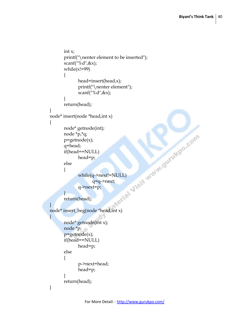```
int x;
      printf("\nenter element to be inserted");
      \operatorname{scanf}(\mathsf{I}\%d\mathsf{I},\&\mathsf{x});
      while(x!=99){
             head=insert(head,x);
             printf("\nenter element");
             scanf("%d",&x);
       }
      return(head);
}
node* insert(node *head,int x)
\{node* getnode(int);
      node *p,*q;
      p=getnode(x);
      q=head;
      if(head==NULL)
             head=p;
      else
       {
             while(q->next!=NULL)
                    q=q->next;
             q->next=p;
      }
      return(head);
}
node* insert_beg(node *head,int x)
{
      node* getnode(int x);
      node *p;
      p = getnode(x);if(head==NULL)
             head=p;
      else
       {
             p->next=head;
             head=p;
       }
      return(head);
}
```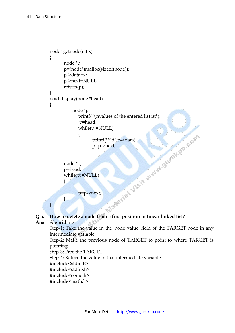```
node* getnode(int x)
        {
               node *p;
               p=(node*)malloc(sizeof(node));
               p->data=x;
               p->next=NULL;
               return(p);
       }
       void display(node *head)
        {
                     node *p;
                       printf("\nvalues of the entered list is:");
                       p=head;
                       while(p!=NULL)<br>
{<br>printf("%d",p->data);<br>
p=p->next;<br>
}<br>
p=p->next;<br>
p=p->next;<br>
p=p->next;<br>
}
                       {
                               printf("%d",p->data);
                               p=p->next;
                       }
               node *p;
               p=head;
               while(p!=NULL)
               {
                       p=p->next;
               } 
       }
Q 5. How to delete a node from a first position in linear linked list?
```

```
Ans: Algorithm:-
```
Step-1: Take the value in the 'node value' field of the TARGET node in any intermediate variable

Step-2: Make the previous node of TARGET to point to where TARGET is pointing

Step-3: Free the TARGET

Step-4: Return the value in that intermediate variable

- #include<stdio.h>
- #include<stdlib.h>
- #include<conio.h>
- #include<math.h>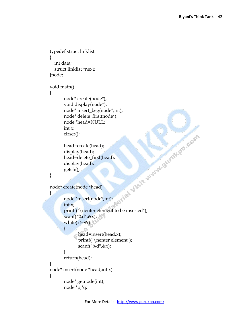```
typedef struct linklist
{
   int data;
   struct linklist *next;
}node;
void main()
\mathbf{f}node* create(node*);
       void display(node*);
       node* insert_beg(node*,int);
       node* delete_first(node*);
       node *head=NULL;
       int x;
       clrscr();
       head=create(head);
       display(head);
       whead;<br>head=delete_first(head);<br>display(head);<br>getch();<br>create(node *head)<br>node *insert(node*:<br>int x;<br>printf(")
       display(head);
       getch();
}
node* create(node *head)
{
       node *insert(node*,int);
       int x;
       printf("\nenter element to be inserted");
       scanf("%d",&x);
       while(x!=99){
             head=insert(head,x);
               printf("\nenter element");
               scanf("%d",&x);
       }
       return(head);
}
node* insert(node *head,int x)
{
       node* getnode(int);
       node *p,*q;
```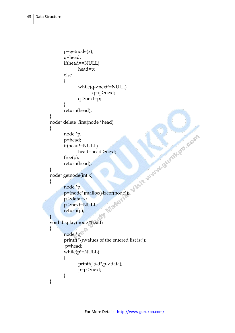```
p=getnode(x);
      q=head;
      if(head==NULL)
             head=p;
      else
       {
             while(q->next!=NULL)
                    q=q->next;
             q->next=p;
       }
      return(head);
}
node* delete_first(node *head)
{
       node *p;
       p=head;
       if(head!=NULL)
             head=head->next;
       free(p);
       return(head);
}
node* getnode(int x)
\{node *p;
       p=(node*)malloc(sizeof(node));
       p->data=x;
       p->next=NULL;
       return(p);
}
void display(node *head)
{
      node *p;
      printf("\nvalues of the entered list is:");
       p=head;
      while(p!= NULL){
             printf("%d",p->data);
             p=p->next;
       }
}
```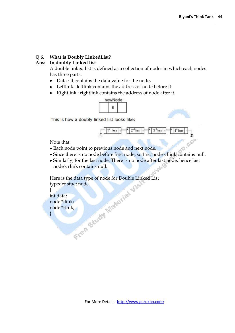#### **Q 6. What is Doubly LinkedList?**

#### **Ans: In doubly Linked list**

A double linked list is defined as a collection of nodes in which each nodes has three parts:

- Data : It contains the data value for the node,
- Leftlink : leftlink contains the address of node before it
- Rightlink : rightlink contains the address of node after it.



This is how a doubly linked list looks like:



Note that

- Each node point to previous node and next node.
- Since there is no node before first node, so first node's llink contains null.
- Similarly, for the last node. There is no node after last node, hence last node's rlink contains null.

Here is the data type of node for Double Linked List typedef stuct node

{ int data; node \*llink; node \*rlink; }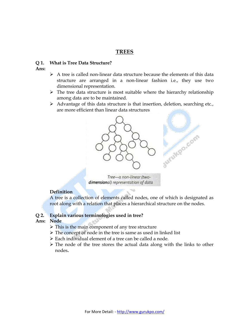#### **TREES**

#### **Q 1. What is Tree Data Structure?**

- **Ans:**
- $\triangleright$  A tree is called non-linear data structure because the elements of this data structure are arranged in a non-linear fashion i.e., they use two dimensional representation.
- $\triangleright$  The tree data structure is most suitable where the hierarchy relationship among data are to be maintained.
- $\triangleright$  Advantage of this data structure is that insertion, deletion, searching etc., are more efficient than linear data structures



Tree-a non-linear (twodimensional) representation of data

#### **Definition**

A tree is a collection of elements called nodes, one of which is designated as root along with a relation that places a hierarchical structure on the nodes.

#### **Q 2. Explain various terminologies used in tree?**

#### **Ans: Node**

- $\triangleright$  This is the main component of any tree structure
- $\triangleright$  The concept of node in the tree is same as used in linked list
- Each individual element of a tree can be called a node.
- $\triangleright$  The node of the tree stores the actual data along with the links to other nodes**.**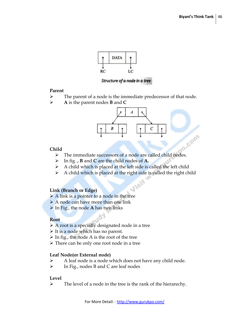Com



Structure of a node in a tree

#### **Parent**

- $\triangleright$  The parent of a node is the immediate predecessor of that node.
- **A** is the parent nodes **B** and **C**



#### **Child**

- $\triangleright$  The immediate successors of a node are called child nodes.
- In fig ., **B** and **C** are the child nodes of **A.**
- $\triangleright$  A child which is placed at the left side is called the left child
- $\triangleright$  A child which is placed at the right side is called the right child

#### **Link (Branch or Edge)**

- $\triangleright$  A link is a pointer to a node in the tree
- > A node can have more than one link
- In Fig., the node **A** has two links

#### **Root**

- $\triangleright$  A root is a specially designated node in a tree
- $\triangleright$  It is a node which has no parent.
- $\triangleright$  In fig., the node A is the root of the tree
- $\triangleright$  There can be only one root node in a tree

#### **Leaf Node(or External node)**

- $\triangleright$  A leaf node is a node which does not have any child node.
- $\triangleright$  In Fig., nodes B and C are leaf nodes

#### **Level**

 $\triangleright$  The level of a node in the tree is the rank of the hierarechy.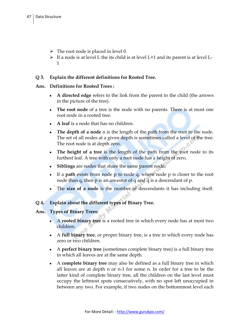- $\triangleright$  The root node is placed in level 0.
- $\triangleright$  If a node is at level L the its child is at level L+1 and its parent is at level L-1

#### **Q 3. Explain the different definitions for Rooted Tree.**

#### **Ans. Definitions for Rooted Trees :**

- **A directed edge** refers to the link from the [parent](http://www.answers.com/topic/tree-data-structure) to the [child](http://www.answers.com/topic/tree-data-structure) (the arrows in the picture of the tree).
- **The [root node](http://www.answers.com/topic/tree-data-structure)** of a tree is the [node](http://www.answers.com/topic/node-computer-science) with no parents. There is at most one root node in a rooted tree.
- **A [leaf](http://www.answers.com/topic/leaf-node)** is a node that has no children.
- **The depth of a node** n is the length of the path from the root to the node. The set of all nodes at a given depth is sometimes called a level of the tree. The root node is at depth zero.
- **The height of a tree** is the length of the path from the root node to its furthest leaf. A tree with only a root node has a height of zero.
- **Siblings** are nodes that share the same parent node.
- If a **path** exists from node p to node q, where node p is closer to the root node than q, then p is an ancestor of q and q is a descendant of p.
- The **size of a node** is the number of descendants it has including itself.

#### **Q 4. Explain about the different types of Binary Tree.**

#### **Ans. Types of Binary Trees***:*

- A **rooted binary tree** is a rooted [tree](http://www.answers.com/topic/tree-data-structure) in which every node has at most two children.
- A **full binary tree**, or proper binary tree, is a tree in which every node has zero or two children.
- A **perfect binary tree** (sometimes complete binary tree) is a full binary tree in which all leaves are at the same depth.
- A **complete binary tree** may also be defined as a full binary tree in which all leaves are at depth n or n-1 for some n. In order for a tree to be the latter kind of complete binary tree, all the children on the last level must occupy the leftmost spots consecutively, with no spot left unoccupied in between any two. For example, if two nodes on the bottommost level each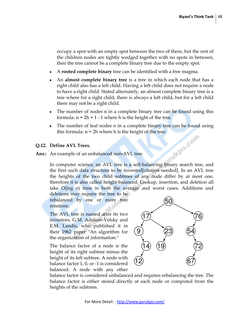occupy a spot with an empty spot between the two of them, but the rest of the children nodes are tightly wedged together with no spots in between, then the tree cannot be a complete binary tree due to the empty spot.

- A **rooted complete binary** tree can be identified with a [free magma.](http://www.answers.com/topic/magma-algebra-1)
- An **almost complete binary tree** is a tree in which each node that has a right child also has a left child. Having a left child does not require a node to have a right child. Stated alternately, an almost complete binary tree is a tree where for a right child, there is always a left child, but for a left child there may not be a right child.
- The number of nodes n in a complete binary tree can be found using this formula:  $n = 2h + 1 - 1$  where h is the height of the tree.
- The number of leaf nodes n in a complete binary tree can be found using this formula:  $n = 2h$  where h is the height of the tree.<br> **fine AVL Trees.**<br>
example of an unbalanced none  $\lambda$

#### **Q.12. Define AVL Trees.**

**Ans.:** An example of an unbalanced non-AVL tree

In [computer science,](http://www.answers.com/topic/computer-science) an AVL tree is a [self-balancing binary search tree,](http://www.answers.com/topic/self-balancing-binary-search-tree) and the first such data structure to be invented[citation needed]. In an AVL tree the [heights](http://www.answers.com/topic/tree-height) of the two [child](http://www.answers.com/topic/tree-data-structure) subtrees of any node differ by at most one, therefore it is also called [height-balanced.](http://www.answers.com/topic/self-balancing-binary-search-tree) Lookup, insertion, and deletion all take [O\(](http://www.answers.com/topic/big-o-notation)log n) time in both the average and worst cases. Additions and

deletions may require the tree to be rebalanced by one or more [tree](http://www.answers.com/topic/tree-rotation)  [rotations.](http://www.answers.com/topic/tree-rotation)

The AVL tree is named after its two inventors, [G.M. Adelson-Velsky](http://www.answers.com/topic/georgy-adelson-velsky) and [E.M. Landis,](http://www.answers.com/topic/yevgeniy-landis) who published it in their 1962 paper "An algorithm for the organization of information."

The balance factor of a node is the height of its right subtree minus the height of its left subtree. A node with balance factor 1, 0, or -1 is considered balanced. A node with any other



balance factor is considered unbalanced and requires rebalancing the tree. The balance factor is either stored directly at each node or computed from the heights of the subtrees.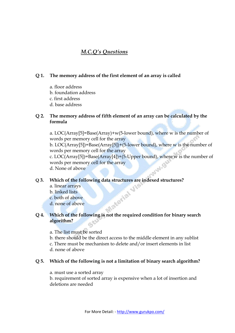#### *M.C.Q's Questions*

#### **Q 1. The memory address of the first element of an array is called**

- a. floor address
- b. foundation address
- c. first address
- d. base address

#### **Q 2. The memory address of fifth element of an array can be calculated by the formula**

a. LOC(Array[5]=Base(Array)+w(5-lower bound), where w is the number of words per memory cell for the array b. LOC(Array[5])=Base(Array[5])+(5-lower bound), where w is the number of words per memory cell for the array c. LOC(Array[5])=Base(Array[4])+(5-Upper bound), where w is the number of words per memory cell for the array d. None of above

#### **Q 3. Which of the following data structures are indexed structures?**

a. linear arrays b. linked lists c. both of above d. none of above **Q 4. Which of the following is not the required condition for binary search** 

### **algorithm?**

- a. The list must be sorted
- b. there should be the direct access to the middle element in any sublist
- c. There must be mechanism to delete and/or insert elements in list d. none of above

#### **Q 5. Which of the following is not a limitation of binary search algorithm?**

a. must use a sorted array

b. requirement of sorted array is expensive when a lot of insertion and deletions are needed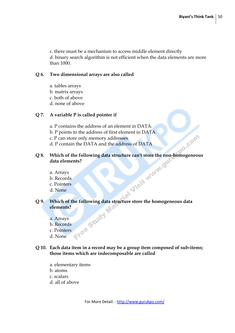c. there must be a mechanism to access middle element directly d. binary search algorithm is not efficient when the data elements are more than 1000.

#### **Q 6. Two dimensional arrays are also called**

- a. tables arrays
- b. matrix arrays
- c. both of above
- d. none of above

#### **Q 7. A variable P is called pointer if**

- a. P contains the address of an element in DATA.
- b. P points to the address of first element in DATA
- c. P can store only memory addresses
- d. P contain the DATA and the address of DATA

# **Q 8.** Which of the following data structure can't store the non-homogeneous data elements?<br>
a. Arrays<br>
b. Records<br>
c. Pointers<br>
d. None **data elements?**

- a. Arrays
- b. Records
- c. Pointers
- d. None

## **Q 9.** Which of the following data structure store the homogeneous data elements?<br>
a. Arrays<br>
b. Records<br>
c. Pointers<br>
d. None **elements?**

- a. Arrays
- b. Records
- c. Pointers
- d. None

#### **Q 10. Each data item in a record may be a group item composed of sub-items; those items which are indecomposable are called**

- a. elementary items
- b. atoms
- c. scalars
- d. all of above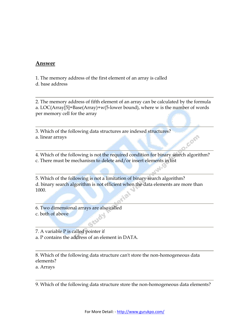#### **Answer**

1. The memory address of the first element of an array is called d. base address

2. The memory address of fifth element of an array can be calculated by the formula a. LOC(Array[5]=Base(Array)+w(5-lower bound), where w is the number of words per memory cell for the array

3. Which of the following data structures are indexed structures? a. linear arrays

4. Which of the following is not the required condition for binary search algorithm? c. There must be mechanism to delete and/or insert elements in list

Com

5. Which of the following is not a limitation of binary search algorithm? d. binary search algorithm is not efficient when the data elements are more than 1000.

6. Two dimensional arrays are also called c. both of above

7. A variable P is called pointer if

a. P contains the address of an element in DATA.

8. Which of the following data structure can't store the non-homogeneous data elements?

a. Arrays

9. Which of the following data structure store the non-homogeneous data elements?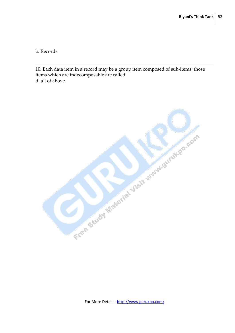b. Records

10. Each data item in a record may be a group item composed of sub-items; those items which are indecomposable are called d. all of above

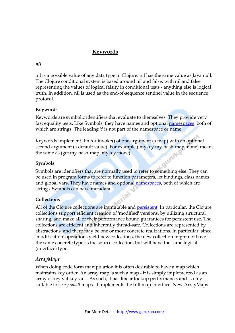#### **Keywords**

#### *nil*

nil is a possible value of any data type in Clojure. nil has the same value as Java null. The Clojure conditional system is based around nil and false, with nil and false representing the values of logical falsity in conditional tests - anything else is logical truth. In addition, nil is used as the end-of-sequence sentinel value in the sequence protocol.

#### **Keywords**

Keywords are symbolic identifiers that evaluate to themselves. They provide very fast equality tests. Like Symbols, they have names and optional [namespaces,](http://clojure.org/namespaces) both of which are strings. The leading  $\cdot$  is not part of the namespace or name.

Keywords implement IFn for invoke() of one argument (a map) with an optional second argument (a default value). For example (:mykey my-hash-map :none) means the same as (get my-hash-map :mykey :none).

#### **Symbols**

Symbols are identifiers that are normally used to refer to something else. They can be used in program forms to refer to function parameters, let bindings, class names and global vars. They have names and optional [namespaces,](http://clojure.org/namespaces) both of which are strings. Symbols can have metadata.

#### **Collections**

All of the Clojure collections are immutable and [persistent.](http://en.wikipedia.org/wiki/Persistent_data_structure) In particular, the Clojure collections support efficient creation of 'modified' versions, by utilizing structural sharing, and make all of their performance bound guarantees for persistent use. The collections are efficient and inherently thread-safe. Collections are represented by abstractions, and there may be one or more concrete realizations. In particular, since 'modification' operations yield new collections, the new collection might not have the same concrete type as the source collection, but will have the same logical (interface) type.

#### *ArrayMaps*

When doing code form manipulation it is often desirable to have a map which maintains key order. An array map is such a map - it is simply implemented as an array of key val key val... As such, it has linear lookup performance, and is only suitable for *very small* maps. It implements the full map interface. New ArrayMaps